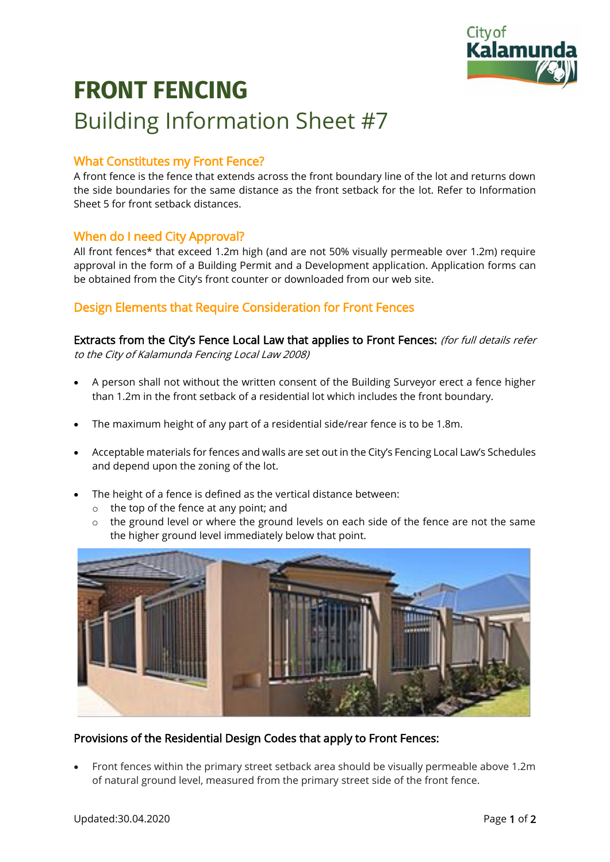

# **FRONT FENCING** Building Information Sheet #7

## What Constitutes my Front Fence?

A front fence is the fence that extends across the front boundary line of the lot and returns down the side boundaries for the same distance as the front setback for the lot. Refer to Information Sheet 5 for front setback distances.

### When do I need City Approval?

All front fences\* that exceed 1.2m high (and are not 50% visually permeable over 1.2m) require approval in the form of a Building Permit and a Development application. Application forms can be obtained from the City's front counter or downloaded from our web site.

### Design Elements that Require Consideration for Front Fences

Extracts from the City's Fence Local Law that applies to Front Fences: (for full details refer to the City of Kalamunda Fencing Local Law 2008)

- A person shall not without the written consent of the Building Surveyor erect a fence higher than 1.2m in the front setback of a residential lot which includes the front boundary.
- The maximum height of any part of a residential side/rear fence is to be 1.8m.
- Acceptable materials for fences and walls are set out in the City's Fencing Local Law's Schedules and depend upon the zoning of the lot.
- The height of a fence is defined as the vertical distance between:
	- o the top of the fence at any point; and
	- $\circ$  the ground level or where the ground levels on each side of the fence are not the same the higher ground level immediately below that point.



#### Provisions of the Residential Design Codes that apply to Front Fences:

• Front fences within the primary street setback area should be visually permeable above 1.2m of natural ground level, measured from the primary street side of the front fence.